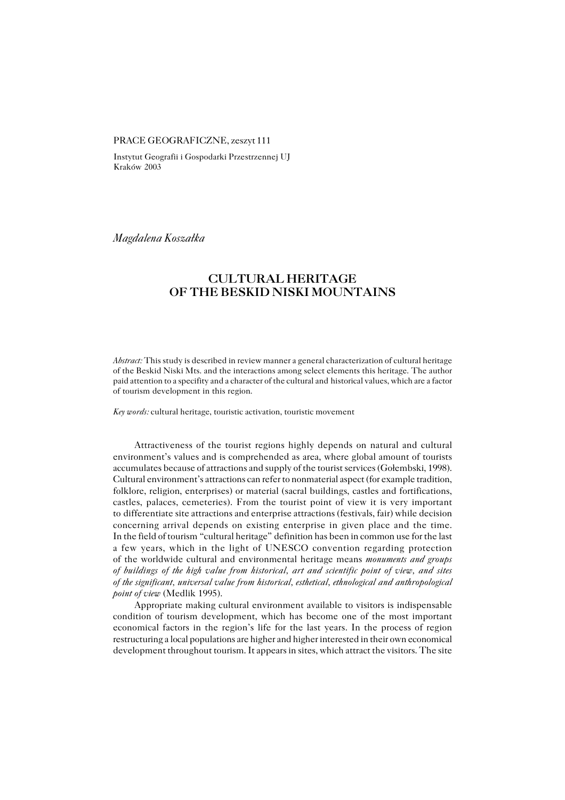### PRACE GEOGRAFICZNE, zeszyt 111

Instytut Geografii i Gospodarki Przestrzennej UJ Kraków 2003

*Magdalena Koszałka*

# **CULTURAL HERITAGE OF THE BESKID NISKI MOUNTAINS**

*Abstract:* This study is described in review manner a general characterization of cultural heritage of the Beskid Niski Mts. and the interactions among select elements thisheritage. The author paid attention to a specifity and a character of the cultural and historical values, which are a factor of tourism development in this region.

*Key words:* cultural heritage, touristic activation, touristic movement

Attractiveness of the tourist regions highly depends on natural and cultural environment's values and is comprehended as area, where global amount of tourists accumulates because of attractions and supply of the tourist services (Gołembski, 1998). Cultural environment's attractions can refer to nonmaterial aspect (for example tradition, folklore, religion, enterprises) or material (sacral buildings, castles and fortifications, castles, palaces, cemeteries). From the tourist point of view it is very important to differentiate site attractions and enterprise attractions (festivals, fair) while decision concerning arrival depends on existing enterprise in given place and the time. In the field of tourism "cultural heritage" definition has been in common use for the last a few years, which in the light of UNESCO convention regarding protection of the worldwide cultural and environmental heritage means *monuments and groups of buildings of the high value from historical, art and scientific point of view, and sites of the significant, universal value from historical, esthetical, ethnological and anthropological point of view* (Medlik 1995).

Appropriate making cultural environment available to visitors is indispensable condition of tourism development, which has become one of the most important economical factors in the region's life for the last years. In the process of region restructuring a local populations are higher and higher interested in their own economical development throughout tourism. It appears in sites, which attract the visitors. The site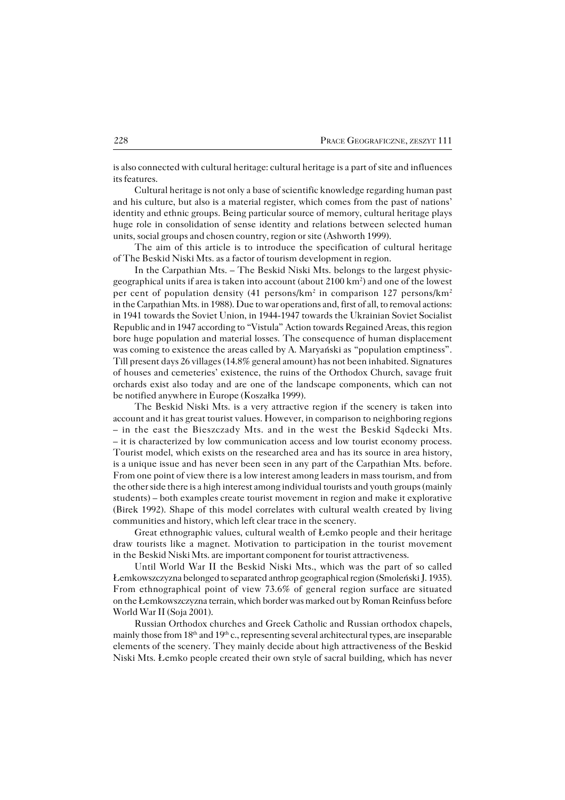is also connected with cultural heritage: cultural heritage is a part of site and influences its features.

Cultural heritage is not only a base of scientific knowledge regarding human past and his culture, but also is a material register, which comes from the past of nations' identity and ethnic groups. Being particular source of memory, cultural heritage plays huge role in consolidation of sense identity and relations between selected human units, social groups and chosen country, region or site (Ashworth 1999).

The aim of this article is to introduce the specification of cultural heritage of The Beskid Niski Mts. as a factor of tourism development in region.

In the Carpathian Mts. – The Beskid Niski Mts. belongs to the largest physic− geographical units if area is taken into account (about 2100 km<sup>2</sup> ) and one of the lowest per cent of population density (41 persons/km<sup>2</sup> in comparison 127 persons/km<sup>2</sup> in the Carpathian Mts. in 1988). Due to war operations and, first of all, to removal actions: in 1941 towards the Soviet Union, in 1944−1947 towards the Ukrainian Soviet Socialist Republic and in 1947 according to "Vistula" Action towards Regained Areas, this region bore huge population and material losses. The consequence of human displacement was coming to existence the areas called by A. Maryański as "population emptiness". Till present days 26 villages (14.8% general amount) has not been inhabited. Signatures of houses and cemeteries' existence, the ruins of the Orthodox Church, savage fruit orchards exist also today and are one of the landscape components, which can not be notified anywhere in Europe (Koszałka 1999).

The Beskid Niski Mts. is a very attractive region if the scenery is taken into account and it has great tourist values. However, in comparison to neighboring regions – in the east the Bieszczady Mts. and in the west the Beskid Sądecki Mts. – it is characterized by low communication access and low tourist economy process. Tourist model, which exists on the researched area and has its source in area history, is a unique issue and has never been seen in any part of the Carpathian Mts. before. From one point of view there is a low interest among leaders in mass tourism, and from the other side there is a high interest among individual tourists and youth groups (mainly students) – both examples create tourist movement in region and make it explorative (Birek 1992). Shape of this model correlates with cultural wealth created by living communities and history, which left clear trace in the scenery.

Great ethnographic values, cultural wealth of Łemko people and their heritage draw tourists like a magnet. Motivation to participation in the tourist movement in the Beskid Niski Mts. are important component for tourist attractiveness.

Until World War II the Beskid Niski Mts., which was the part of so called Łemkowszczyzna belonged to separated anthrop geographical region (Smoleński J. 1935). From ethnographical point of view 73.6% of general region surface are situated on the Łemkowszczyzna terrain, which border was marked out by Roman Reinfuss before World War II (Soja 2001).

Russian Orthodox churches and Greek Catholic and Russian orthodox chapels, mainly those from  $18<sup>th</sup>$  and  $19<sup>th</sup>$  c., representing several architectural types, are inseparable elements of the scenery. They mainly decide about high attractiveness of the Beskid Niski Mts. Łemko people created their own style of sacral building, which has never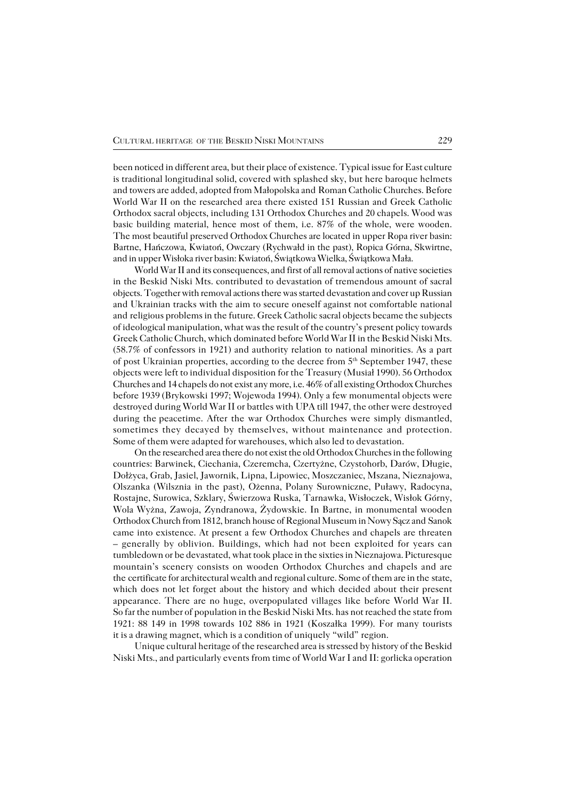been noticed in different area, but their place of existence. Typical issue for East culture is traditional longitudinal solid, covered with splashed sky, but here baroque helmets and towers are added, adopted from Małopolska and Roman Catholic Churches. Before World War II on the researched area there existed 151 Russian and Greek Catholic Orthodox sacral objects, including 131 Orthodox Churches and 20 chapels. Wood was basic building material, hence most of them, i.e. 87% of thewhole, were wooden. The most beautiful preserved Orthodox Churches are located in upper Ropa river basin: Bartne, Hańczowa, Kwiatoń, Owczary (Rychwałd in the past), Ropica Górna, Skwirtne, and in upper Wisłoka river basin: Kwiatoń, Świątkowa Wielka, Świątkowa Mała.

World War II and its consequences, and first of all removal actions of native societies in the Beskid Niski Mts. contributed to devastation of tremendous amount of sacral objects. Together with removal actions there was started devastation and cover up Russian and Ukrainian tracks with the aim to secure oneself against not comfortable national and religious problems in the future. Greek Catholic sacral objects became the subjects of ideological manipulation, what was the result of the country's present policy towards Greek Catholic Church, which dominated before World War II in the Beskid Niski Mts. (58.7% of confessors in 1921) and authority relation to national minorities. As a part of post Ukrainian properties, according to the decree from 5<sup>th</sup> September 1947, these objects were left to individual disposition for the Treasury (Musiał 1990). 56 Orthodox Churches and 14 chapels do not exist any more, i.e. 46% of all existing Orthodox Churches before 1939 (Brykowski 1997; Wojewoda 1994). Only a few monumental objects were destroyed during World War II or battles with UPA till 1947, the other were destroyed during the peacetime. After the war Orthodox Churches were simply dismantled, sometimes they decayed by themselves, without maintenance and protection. Some of them were adapted for warehouses, which also led to devastation.

On the researched area there do not exist the old Orthodox Churches in the following countries: Barwinek, Ciechania, Czeremcha, Czertyżne, Czystohorb, Darów, Długie, Dołżyca, Grab, Jasiel, Jawornik, Lipna, Lipowiec, Moszczaniec, Mszana, Nieznajowa, Olszanka (Wilsznia in the past), Ożenna, Polany Surowniczne, Puławy, Radocyna, Rostajne, Surowica, Szklary, Świerzowa Ruska, Tarnawka, Wisłoczek, Wisłok Górny, Wola Wyżna, Zawoja, Zyndranowa, Żydowskie. In Bartne, in monumental wooden Orthodox Church from 1812, branch house of Regional Museum in Nowy Sącz and Sanok came into existence. At present a few Orthodox Churches and chapels are threaten – generally by oblivion. Buildings, which had not been exploited for years can tumbledown or be devastated, what took place in the sixties in Nieznajowa. Picturesque mountain's scenery consists on wooden Orthodox Churches and chapels and are the certificate for architectural wealth and regional culture. Some of them are in the state, which does not let forget about the history and which decided about their present appearance. There are no huge, overpopulated villages like before World War II. So far the number of population in the Beskid Niski Mts. has not reached the state from 1921: 88 149 in 1998 towards 102 886 in 1921 (Koszałka 1999). For many tourists it is a drawing magnet, which is a condition of uniquely "wild" region.

Unique cultural heritage of the researched area is stressed by history of the Beskid Niski Mts., and particularly events from time of World War I and II: gorlicka operation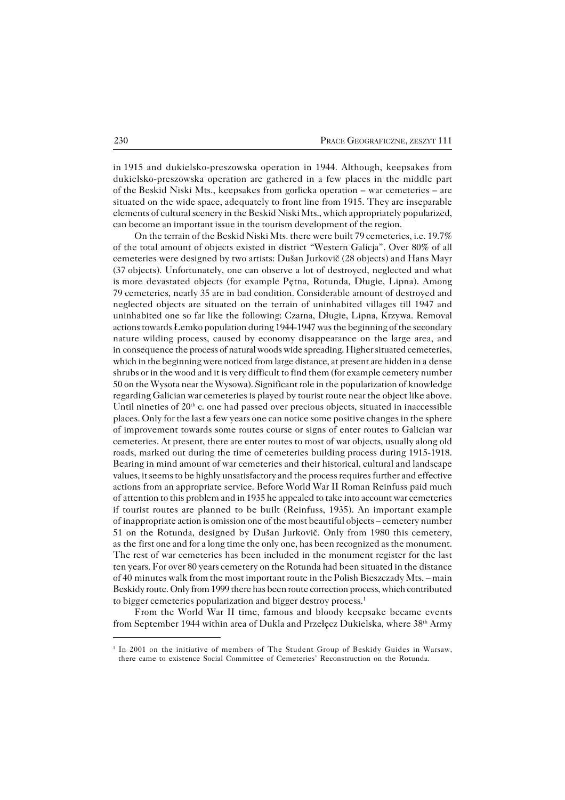in1915 and dukielsko−preszowska operation in 1944. Although, keepsakes from dukielsko−preszowska operation are gathered in a few places in the middle part oftheBeskid Niski Mts., keepsakes from gorlicka operation – war cemeteries – are situated on the wide space, adequately to front line from 1915. They are inseparable elements of cultural scenery in the Beskid Niski Mts., which appropriately popularized, can become an important issue in the tourism development of the region.

On the terrain of the Beskid Niski Mts. there were built 79 cemeteries, i.e. 19.7% of the total amount of objects existed in district "Western Galicja". Over 80% of all cemeteries were designed by two artists: Dušan Jurkovič (28 objects) and Hans Mayr (37objects). Unfortunately, one can observe a lot of destroyed, neglected and what ismore devastated objects (for example Pętna, Rotunda, Długie, Lipna). Among 79cemeteries, nearly 35 are in bad condition. Considerable amount of destroyed and neglected objects are situated on the terrain of uninhabited villages till 1947 and uninhabited one so far like the following: Czarna, Długie, Lipna, Krzywa. Removal actions towards Łemko population during 1944−1947 was the beginning of the secondary nature wilding process, caused by economy disappearance on the large area, and in consequence the process of natural woods wide spreading. Higher situated cemeteries, which in the beginning were noticed from large distance, at present are hidden in a dense shrubs or in the wood and it is very difficult to find them (for example cemetery number 50 on the Wysota near the Wysowa). Significant role in the popularization of knowledge regarding Galician war cemeteries is played by tourist route near the object like above. Until nineties of  $20<sup>th</sup>$  c. one had passed over precious objects, situated in inaccessible places. Only for the last a few years one can notice some positive changes in the sphere of improvement towards some routes course or signs of enter routes to Galician war cemeteries. At present, there are enter routes to most of war objects, usually along old roads, marked out during the time of cemeteries building process during 1915−1918. Bearing in mind amount of war cemeteries and their historical, cultural and landscape values, it seems to be highly unsatisfactory and the process requires further and effective actions from an appropriate service. Before World War II Roman Reinfuss paid much ofattention to this problem and in 1935 he appealed to take into account war cemeteries if tourist routes are planned to be built (Reinfuss, 1935). An important example ofinappropriate action is omission one of the most beautiful objects – cemetery number 51 on the Rotunda, designed by Dušan Jurkovič. Only from 1980 this cemetery, as the first one and for a long time the only one, has been recognized as the monument. The rest of war cemeteries has been included in the monument register for the last ten years. For over 80 years cemetery on the Rotunda had been situated in the distance of 40minutes walk from the most important route in the Polish Bieszczady Mts. – main Beskidy route. Only from 1999 there has been route correction process, which contributed to bigger cemeteries popularization and bigger destroy process.<sup>1</sup>

From the World War II time, famous and bloody keepsake became events from September 1944 within area of Dukla and Przełęcz Dukielska, where  $38<sup>th</sup>$  Army

<sup>&</sup>lt;sup>1</sup> In 2001 on the initiative of members of The Student Group of Beskidy Guides in Warsaw, there came to existence Social Committee of Cemeteries' Reconstruction on the Rotunda.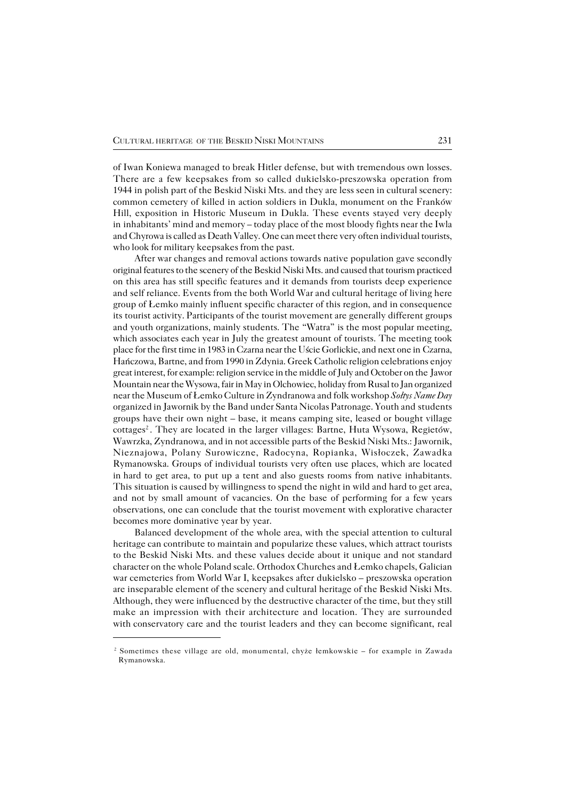of Iwan Koniewa managed to break Hitler defense, but with tremendous own losses. There are a few keepsakes from so called dukielsko−preszowska operation from 1944 in polish part of the Beskid Niski Mts. and they are less seen in cultural scenery: common cemetery of killed in action soldiers in Dukla, monument on the Franków Hill, exposition in Historic Museum in Dukla. These events stayed very deeply in inhabitants' mind and memory – today place of the most bloody fights near the Iwla and Chyrowa is called as Death Valley. One can meet there very often individual tourists, who look for military keepsakes from the past.

After war changes and removal actions towards native population gave secondly original features to the scenery of the Beskid Niski Mts. and caused that tourism practiced on this area has still specific features and it demands from tourists deep experience and self reliance. Events from the both World War and cultural heritage of living here group of Łemko mainly influent specific character of this region, and in consequence its tourist activity. Participants of the tourist movement are generally different groups and youth organizations, mainly students. The "Watra" is the most popular meeting, which associates each year in July the greatest amount of tourists. The meeting took place for the first time in 1983 in Czarna near the Uście Gorlickie, and next one in Czarna, Hańczowa, Bartne, and from 1990 in Zdynia. Greek Catholic religion celebrations enjoy great interest, for example: religion service in the middle of July and October on the Jawor Mountain near the Wysowa, fair in May in Olchowiec, holiday from Rusal to Jan organized near the Museum of Łemko Culture in Zyndranowa and folk workshop *Sołtys Name Day* organized in Jawornik by the Band under Santa Nicolas Patronage. Youth andstudents groups have their own night – base, it means camping site, leased or bought village cottages<sup>2</sup>. They are located in the larger villages: Bartne, Huta Wysowa, Regietów, Wawrzka, Zyndranowa, and in not accessible parts of the Beskid Niski Mts.: Jawornik, Nieznajowa, Polany Surowiczne, Radocyna, Ropianka, Wisłoczek, Zawadka Rymanowska. Groups of individual tourists very often use places, which are located inhard to get area, to put up a tent and also guests rooms from native inhabitants. This situation is caused by willingness to spend the night in wild and hard to get area, and not by small amount of vacancies. On the base of performing for a few years observations, one can conclude that the tourist movement with explorative character becomes more dominative year by year.

Balanced development of the whole area, with the special attention to cultural heritage can contribute to maintain and popularize these values, which attract tourists tothe Beskid Niski Mts. and these values decide about it unique and not standard character on the whole Poland scale. Orthodox Churches and Łemko chapels, Galician war cemeteries from World War I, keepsakes after dukielsko – preszowska operation are inseparable element of the scenery and cultural heritage of the Beskid Niski Mts. Although, they were influenced by the destructive character of the time, but they still make an impression with their architecture and location. They are surrounded with conservatory care and the tourist leaders and they can become significant, real

<sup>2</sup> Sometimes these village are old, monumental, chyże łemkowskie – for example in Zawada Rymanowska.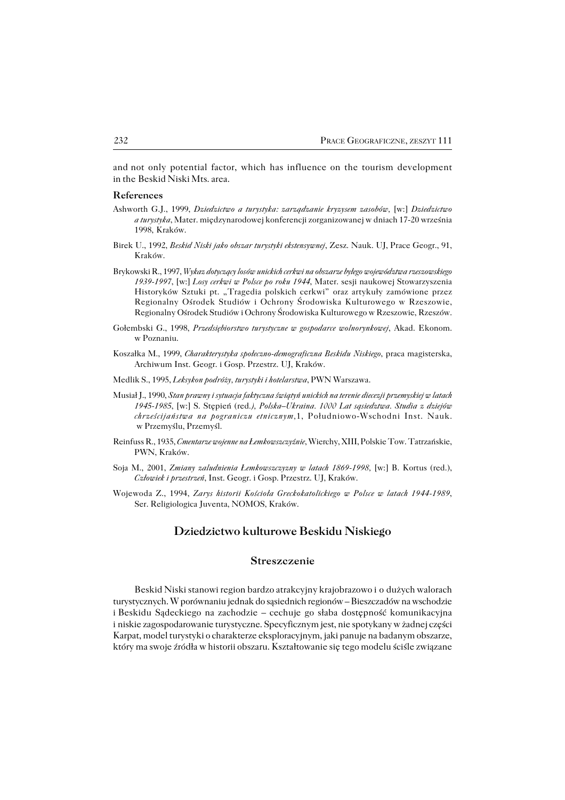and not only potential factor, which has influence on the tourism development in the Beskid Niski Mts. area.

#### **References**

- Ashworth G.J., 1999, *Dziedzictwo a turystyka: zarządzanie kryzysem zasobów,* [w:] *Dziedzictwo a turystyka*, Mater. międzynarodowej konferencji zorganizowanej w dniach 17−20 września 1998, Kraków.
- Birek U., 1992, *Beskid Niski jako obszar turystyki ekstensywnej*, Zesz. Nauk. UJ, Prace Geogr., 91, Kraków.
- Brykowski R., 1997, *Wykaz dotyczący losów unickich cerkwi na obszarze byłego województwa rzeszowskiego 1939−1997*, [w:] *Losy cerkwi w Polsce po roku 1944*, Mater. sesji naukowej Stowarzyszenia Historyków Sztuki pt. "Tragedia polskich cerkwi" oraz artykuły zamówione przez Regionalny Ośrodek Studiów i Ochrony Środowiska Kulturowego w Rzeszowie, Regionalny Ośrodek Studiów i Ochrony Środowiska Kulturowego w Rzeszowie, Rzeszów.
- Gołembski G., 1998, *Przedsiębiorstwo turystyczne w gospodarce wolnorynkowej*, Akad. Ekonom. w Poznaniu.
- Koszałka M., 1999, *Charakterystyka społeczno−demograficzna Beskidu Niskiego*, praca magisterska, Archiwum Inst. Geogr. i Gosp. Przestrz. UJ, Kraków.
- Medlik S., 1995, *Leksykon podróży, turystyki i hotelarstwa*, PWN Warszawa.
- Musiał J., 1990, *Stan prawny i sytuacja faktyczna świątyń unickich na terenie diecezji przemyskiej w latach 1945−1985*, [w:] S. Stępień (red*.), Polska–Ukraina. 1000 Lat sąsiedztwa. Studia z dziejów chrześcijaństwa na pograniczu etnicznym,*1, Południowo−Wschodni Inst. Nauk. w Przemyślu, Przemyśl.
- Reinfuss R., 1935, *Cmentarze wojenne na Łemkowszczyźnie*, Wierchy, XIII, Polskie Tow. Tatrzańskie, PWN, Kraków.
- Soja M., 2001, *Zmiany zaludnienia Łemkowszczyzny w latach 1869−1998,* [w:] B. Kortus (red.), *Człowiek i przestrzeń*, Inst. Geogr. i Gosp. Przestrz. UJ, Kraków.
- Wojewoda Z., 1994, *Zarys historii Kościoła Greckokatolickiego w Polsce w latach 1944−1989*, Ser. Religiologica Juventa, NOMOS, Kraków.

## **Dziedzictwo kulturowe Beskidu Niskiego**

## **Streszczenie**

Beskid Niski stanowi region bardzo atrakcyjny krajobrazowo iodużych walorach turystycznych. W porównaniu jednak do sąsiednich regionów – Bieszczadów na wschodzie iBeskidu Sądeckiego na zachodzie – cechuje go słaba dostępność komunikacyjna iniskie zagospodarowanie turystyczne. Specyficznym jest, nie spotykany w żadnej części Karpat, model turystyki o charakterze eksploracyjnym, jaki panuje na badanym obszarze, który ma swoje źródła w historii obszaru. Kształtowanie się tego modelu ściśle związane